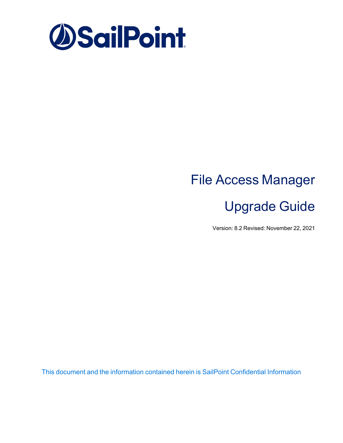

# File Access Manager Upgrade Guide

Version: 8.2 Revised: November 22, 2021

This document and the information contained herein is SailPoint Confidential Information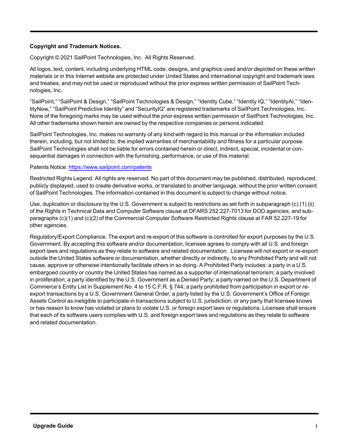#### **Copyright and Trademark Notices.**

Copyright © 2021 SailPoint Technologies, Inc. All Rights Reserved.

All logos, text, content, including underlying HTML code, designs, and graphics used and/or depicted on these written materials or in this Internet website are protected under United States and international copyright and trademark laws and treaties, and may not be used or reproduced without the prior express written permission of SailPoint Technologies, Inc.

"SailPoint," "SailPoint & Design," "SailPoint Technologies & Design," "Identity Cube," "Identity IQ," "IdentityAI," "IdentityNow," "SailPoint Predictive Identity" and "SecurityIQ" are registered trademarks of SailPoint Technologies, Inc. None of the foregoing marks may be used without the prior express written permission of SailPoint Technologies, Inc. All other trademarks shown herein are owned by the respective companies or persons indicated.

SailPoint Technologies, Inc. makes no warranty of any kind with regard to this manual or the information included therein, including, but not limited to, the implied warranties of merchantability and fitness for a particular purpose. SailPoint Technologies shall not be liable for errors contained herein or direct, indirect, special, incidental or consequential damages in connection with the furnishing, performance, or use of this material.

#### Patents Notice. <https://www.sailpoint.com/patents>

Restricted Rights Legend. All rights are reserved. No part of this document may be published, distributed, reproduced, publicly displayed, used to create derivative works, or translated to another language, without the prior written consent of SailPoint Technologies. The information contained in this document is subject to change without notice.

Use, duplication or disclosure by the U.S. Government is subject to restrictions as set forth in subparagraph (c) (1) (ii) of the Rights in Technical Data and Computer Software clause at DFARS 252.227-7013 for DOD agencies, and subparagraphs (c)(1) and (c)(2) of the Commercial Computer Software Restricted Rights clause at FAR 52.227-19 for other agencies.

Regulatory/Export Compliance. The export and re-export of this software is controlled for export purposes by the U.S. Government. By accepting this software and/or documentation, licensee agrees to comply with all U.S. and foreign export laws and regulations as they relate to software and related documentation. Licensee will not export or re-export outside the United States software or documentation, whether directly or indirectly, to any Prohibited Party and will not cause, approve or otherwise intentionally facilitate others in so doing. A Prohibited Party includes: a party in a U.S. embargoed country or country the United States has named as a supporter of international terrorism; a party involved in proliferation; a party identified by the U.S. Government as a Denied Party; a party named on the U.S. Department of Commerce's Entity List in Supplement No. 4 to 15 C.F.R. § 744; a party prohibited from participation in export or reexport transactions by a U.S. Government General Order; a party listed by the U.S. Government's Office of Foreign Assets Control as ineligible to participate in transactions subject to U.S. jurisdiction; or any party that licensee knows or has reason to know has violated or plans to violate U.S. or foreign export laws or regulations. Licensee shall ensure that each of its software users complies with U.S. and foreign export laws and regulations as they relate to software and related documentation.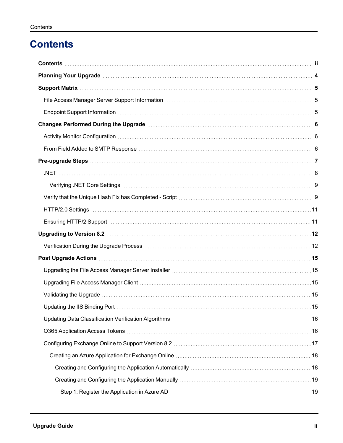## <span id="page-2-0"></span>**Contents**

| Endpoint Support Information measurement control to the control of the control of the control of the control of |  |
|-----------------------------------------------------------------------------------------------------------------|--|
|                                                                                                                 |  |
|                                                                                                                 |  |
|                                                                                                                 |  |
|                                                                                                                 |  |
|                                                                                                                 |  |
|                                                                                                                 |  |
|                                                                                                                 |  |
|                                                                                                                 |  |
|                                                                                                                 |  |
|                                                                                                                 |  |
|                                                                                                                 |  |
|                                                                                                                 |  |
| Upgrading the File Access Manager Server Installer manufactured and the manufactured of 15                      |  |
| Upgrading File Access Manager Client manufactured and the control of the Upgrading File Access Manager Client   |  |
|                                                                                                                 |  |
|                                                                                                                 |  |
|                                                                                                                 |  |
|                                                                                                                 |  |
|                                                                                                                 |  |
|                                                                                                                 |  |
|                                                                                                                 |  |
|                                                                                                                 |  |
|                                                                                                                 |  |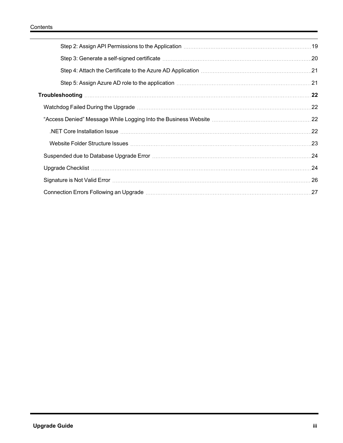| 21. Step 4: Attach the Certificate to the Azure AD Application measurement contains the control of the Certificate |     |
|--------------------------------------------------------------------------------------------------------------------|-----|
|                                                                                                                    |     |
|                                                                                                                    |     |
| Watchdog Failed During the Upgrade measurement contains and a factor of the Upgrade measurement and the Upgrad     |     |
|                                                                                                                    |     |
|                                                                                                                    | .22 |
|                                                                                                                    |     |
| Suspended due to Database Upgrade Error manufacture and the control of the control of 24                           |     |
|                                                                                                                    |     |
|                                                                                                                    | .26 |
|                                                                                                                    | 27  |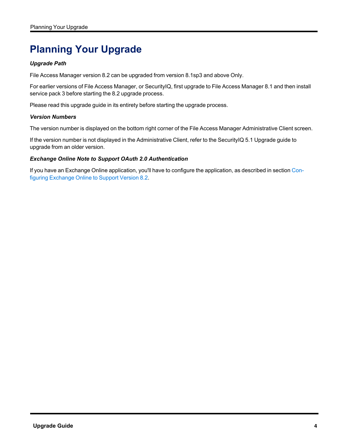## <span id="page-4-0"></span>**Planning Your Upgrade**

#### *Upgrade Path*

File Access Manager version 8.2 can be upgraded from version 8.1sp3 and above Only.

For earlier versions of File Access Manager, or SecurityIQ, first upgrade to File Access Manager 8.1 and then install service pack 3 before starting the 8.2 upgrade process.

Please read this upgrade guide in its entirety before starting the upgrade process.

#### *Version Numbers*

The version number is displayed on the bottom right corner of the File Access Manager Administrative Client screen.

If the version number is not displayed in the Administrative Client, refer to the SecurityIQ 5.1 Upgrade guide to upgrade from an older version.

#### *Exchange Online Note to Support OAuth 2.0 Authentication*

If you have an Exchange Online application, you'll have to configure the application, as described in section [Con](#page-17-0)figuring [Exchange](#page-17-0) Online to Support Version 8.2.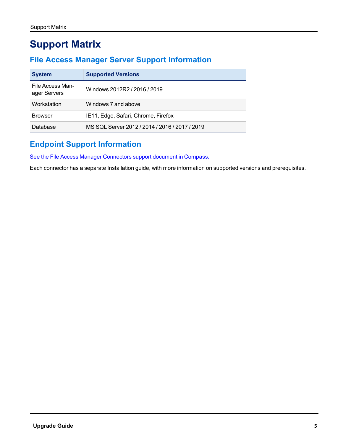## <span id="page-5-1"></span><span id="page-5-0"></span>**Support Matrix**

## **File Access Manager Server Support Information**

| <b>System</b>                    | <b>Supported Versions</b>                      |
|----------------------------------|------------------------------------------------|
| File Access Man-<br>ager Servers | Windows 2012R2 / 2016 / 2019                   |
| Workstation                      | Windows 7 and above                            |
| <b>Browser</b>                   | IE11, Edge, Safari, Chrome, Firefox            |
| Database                         | MS SQL Server 2012 / 2014 / 2016 / 2017 / 2019 |

## <span id="page-5-2"></span>**Endpoint Support Information**

See the File Access Manager [Connectors](https://community.sailpoint.com/t5/Documents/IdentityIQ-File-Access-Manager-8-1-Connectors-Support/ta-p/160829) support document in Compass.

Each connector has a separate Installation guide, with more information on supported versions and prerequisites.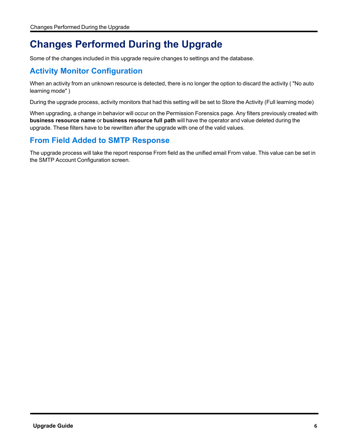## <span id="page-6-0"></span>**Changes Performed During the Upgrade**

<span id="page-6-1"></span>Some of the changes included in this upgrade require changes to settings and the database.

## **Activity Monitor Configuration**

When an activity from an unknown resource is detected, there is no longer the option to discard the activity ( "No auto learning mode" )

During the upgrade process, activity monitors that had this setting will be set to Store the Activity (Full learning mode)

When upgrading, a change in behavior will occur on the Permission Forensics page. Any filters previously created with **business resource name** or **business resource full path** will have the operator and value deleted during the upgrade. These filters have to be rewritten after the upgrade with one of the valid values.

## <span id="page-6-2"></span>**From Field Added to SMTP Response**

The upgrade process will take the report response From field as the unified email From value. This value can be set in the SMTP Account Configuration screen.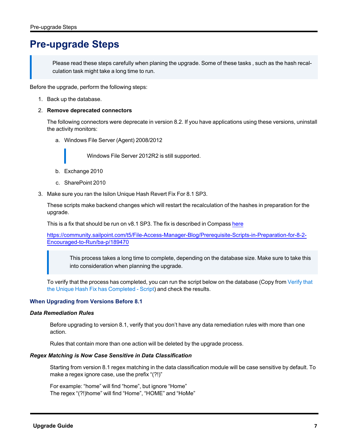## <span id="page-7-0"></span>**Pre-upgrade Steps**

Please read these steps carefully when planing the upgrade. Some of these tasks , such as the hash recalculation task might take a long time to run.

Before the upgrade, perform the following steps:

1. Back up the database.

#### 2. **Remove deprecated connectors**

The following connectors were deprecate in version 8.2. If you have applications using these versions, uninstall the activity monitors:

a. Windows File Server (Agent) 2008/2012

Windows File Server 2012R2 is still supported.

- b. Exchange 2010
- c. SharePoint 2010
- 3. Make sure you ran the Isilon Unique Hash Revert Fix For 8.1 SP3.

These scripts make backend changes which will restart the recalculation of the hashes in preparation for the upgrade.

This is a fix that should be run on v8.1 SP3. The fix is described in Compass [here](https://community.sailpoint.com/t5/File-Access-Manager-Blog/Prerequisite-Scripts-in-Preparation-for-8-2-Encouraged-to-Run/ba-p/189470)

[https://community.sailpoint.com/t5/File-Access-Manager-Blog/Prerequisite-Scripts-in-Preparation-for-8-2-](https://community.sailpoint.com/t5/File-Access-Manager-Blog/Prerequisite-Scripts-in-Preparation-for-8-2-Encouraged-to-Run/ba-p/189470) [Encouraged-to-Run/ba-p/189470](https://community.sailpoint.com/t5/File-Access-Manager-Blog/Prerequisite-Scripts-in-Preparation-for-8-2-Encouraged-to-Run/ba-p/189470)

This process takes a long time to complete, depending on the database size. Make sure to take this into consideration when planning the upgrade.

To verify that the process has completed, you can run the script below on the database (Copy from [Verify](#page-9-1) that the Unique Hash Fix has [Completed](#page-9-1) - Script) and check the results.

#### **When Upgrading from Versions Before 8.1**

#### *Data Remediation Rules*

Before upgrading to version 8.1, verify that you don't have any data remediation rules with more than one action.

Rules that contain more than one action will be deleted by the upgrade process.

#### *Regex Matching is Now Case Sensitive in Data Classification*

Starting from version 8.1 regex matching in the data classification module will be case sensitive by default. To make a regex ignore case, use the prefix "(?!)"

For example: "home" will find "home", but ignore "Home" The regex "(?!)home" will find "Home", "HOME" and "HoMe"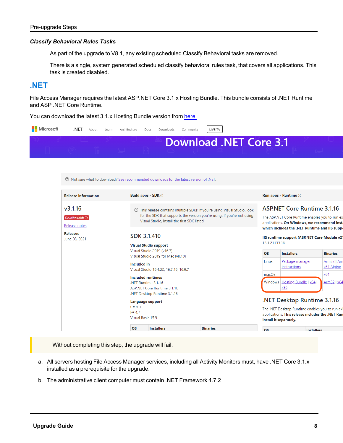#### *Classify Behavioral Rules Tasks*

As part of the upgrade to V8.1, any existing scheduled Classify Behavioral tasks are removed.

There is a single, system generated scheduled classify behavioral rules task, that covers all applications. This task is created disabled.

### <span id="page-8-0"></span>**.NET**

File Access Manager requires the latest ASP.NET Core 3.1.x Hosting Bundle. This bundle consists of .NET Runtime and ASP .NET Core Runtime.

You can download the latest 3.1.x Hosting Bundle version from [here](https://dotnet.microsoft.com/download/dotnet/3.1)

| Microsoft .NET About Learn Architecture Docs Downloads Community |  |  |  | LIVE TV                |  |
|------------------------------------------------------------------|--|--|--|------------------------|--|
|                                                                  |  |  |  | Download .NET Core 3.1 |  |

| <b>Release information</b>                                                             |                                                                                                                                                                                                                                                                                                                                                                                                  | Build apps - SDK $\odot$ |                 |           | Run apps - Runtime $\odot$                                                                                                                                                                                                                            |                           |  |
|----------------------------------------------------------------------------------------|--------------------------------------------------------------------------------------------------------------------------------------------------------------------------------------------------------------------------------------------------------------------------------------------------------------------------------------------------------------------------------------------------|--------------------------|-----------------|-----------|-------------------------------------------------------------------------------------------------------------------------------------------------------------------------------------------------------------------------------------------------------|---------------------------|--|
| v3.1.16<br>Security patch $\odot$<br>Release notes<br><b>Released</b><br>June 08, 2021 | 10 This release contains multiple SDKs. If you're using Visual Studio, look<br>for the SDK that supports the version you're using. If you're not using<br>Visual Studio, install the first SDK listed.<br><b>SDK 3.1.410</b><br><b>Visual Studio support</b><br>Visual Studio 2019 (v16.7)<br>Visual Studio 2019 for Mac (v8.10)<br><b>Included</b> in<br>Visual Studio 16.4.23, 16.7.16, 16.9.7 |                          |                 |           | <b>ASPNET Core Runtime 3.1.16</b><br>The ASP.NET Core Runtime enables you to run ex<br>applications. On Windows, we recommend insta<br>which includes the .NET Runtime and IIS suppe<br>IIS runtime support (ASP.NET Core Module v2)<br>13.1.21133.16 |                           |  |
|                                                                                        |                                                                                                                                                                                                                                                                                                                                                                                                  |                          |                 |           |                                                                                                                                                                                                                                                       |                           |  |
|                                                                                        |                                                                                                                                                                                                                                                                                                                                                                                                  |                          |                 | <b>OS</b> | <b>Installers</b>                                                                                                                                                                                                                                     | <b>Binaries</b>           |  |
|                                                                                        |                                                                                                                                                                                                                                                                                                                                                                                                  |                          |                 | Linux     | Package manager<br>instructions                                                                                                                                                                                                                       | Arm32   Arn<br>x64 Alpine |  |
|                                                                                        | Included runtimes                                                                                                                                                                                                                                                                                                                                                                                |                          |                 |           |                                                                                                                                                                                                                                                       | x64                       |  |
|                                                                                        | .NET Runtime 3.1.16<br>ASP.NET Core Runtime 3.1.16<br>.NET Desktop Runtime 3.1.16                                                                                                                                                                                                                                                                                                                |                          |                 |           | Windows   Hosting Bundle   x64  <br>x86                                                                                                                                                                                                               | Arm32   x64               |  |
|                                                                                        |                                                                                                                                                                                                                                                                                                                                                                                                  | Language support         |                 |           | .NET Desktop Runtime 3.1.16                                                                                                                                                                                                                           |                           |  |
|                                                                                        | C#8.0<br>F# 4.7<br>Visual Basic 15.9                                                                                                                                                                                                                                                                                                                                                             |                          |                 |           | The .NET Desktop Runtime enables you to run exi<br>applications. This release includes the .NET Run<br>install it separately.                                                                                                                         |                           |  |
|                                                                                        | <b>OS</b>                                                                                                                                                                                                                                                                                                                                                                                        | <b>Installers</b>        | <b>Binaries</b> | <b>OS</b> | Installers                                                                                                                                                                                                                                            |                           |  |

Without completing this step, the upgrade will fail.

- a. All servers hosting File Access Manager services, including all Activity Monitors must, have .NET Core 3.1.x installed as a prerequisite for the upgrade.
- b. The administrative client computer must contain .NET Framework 4.7.2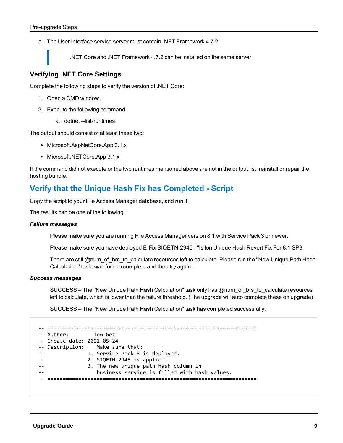c. The User Interface service server must contain .NET Framework 4.7.2

.NET Core and .NET Framework 4.7.2 can be installed on the same server

#### <span id="page-9-0"></span>**Verifying .NET Core Settings**

Complete the following steps to verify the version of .NET Core:

- 1. Open a CMD window.
- 2. Execute the following command:
	- a. dotnet --list-runtimes

The output should consist of at least these two:

- Microsoft.AspNetCore.App 3.1.x
- Microsoft.NETCore.App 3.1.x

<span id="page-9-1"></span>If the command did not execute or the two runtimes mentioned above are not in the output list, reinstall or repair the hosting bundle.

### **Verify that the Unique Hash Fix has Completed - Script**

Copy the script to your File Access Manager database, and run it.

The results can be one of the following:

#### *Failure messages*

Please make sure you are running File Access Manager version 8.1 with Service Pack 3 or newer.

Please make sure you have deployed E-Fix SIQETN-2945 - ''Isilon Unique Hash Revert Fix For 8.1 SP3

There are still @num\_of\_brs\_to\_calculate resources left to calculate. Please run the "New Unique Path Hash Calculation'' task, wait for it to complete and then try again.

#### *Success messages*

SUCCESS – The "New Unique Path Hash Calculation" task only has @num\_of\_brs\_to\_calculate resources left to calculate, which is lower than the failure threshold. (The upgrade will auto complete these on upgrade)

SUCCESS – The ''New Unique Path Hash Calculation'' task has completed successfully.

| -- Author: Tom Gez<br>-- Create date: 2021-05-24 | -- Description: Make sure that:<br>1. Service Pack 3 is deployed.<br>2. SIQETN-2945 is applied.<br>3. The new unique path hash column in |
|--------------------------------------------------|------------------------------------------------------------------------------------------------------------------------------------------|
|                                                  | business service is filled with hash values.                                                                                             |
|                                                  |                                                                                                                                          |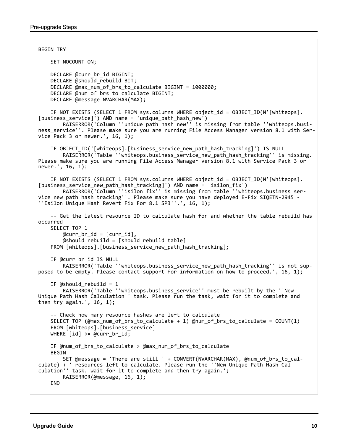```
BEGIN TRY
        SET NOCOUNT ON;
    DECLARE @curr br id BIGINT;
    DECLARE @should rebuild BIT;
    DECLARE @max num of brs to calculate BIGINT = 1000000;
        DECLARE @num_of_brs_to_calculate BIGINT;
        DECLARE @message NVARCHAR(MAX);
        IF NOT EXISTS (SELECT 1 FROM sys.columns WHERE object_id = OBJECT_ID(N'[whiteops].
[business_service]') AND name = 'unique_path_hash_new')
                RAISERROR('Column ''unique_path_hash_new'' is missing from table ''whiteops.busi-
ness_service''. Please make sure you are running File Access Manager version 8.1 with Ser-
vice Pack 3 or newer.', 16, 1);
        IF OBJECT_ID('[whiteops].[business_service_new_path_hash_tracking]') IS NULL
        RAISERROR('Table ''whiteops.business service new path hash tracking'' is missing.
Please make sure you are running File Access Manager version 8.1 with Service Pack 3 or
newer.', 16, 1);
        IF NOT EXISTS (SELECT 1 FROM sys.columns WHERE object_id = OBJECT_ID(N'[whiteops].
[business_service_new_path_hash_tracking]') AND name = 'isilon_fix')
        RAISERROR('Column ''isilon_fix'' is missing from table ''whiteops.business_ser-
vice_new_path_hash_tracking''. Please make sure you have deployed E-Fix SIQETN-2945 -
''Isilon Unique Hash Revert Fix For 8.1 SP3''.', 16, 1);
        -- Get the latest resource ID to calculate hash for and whether the table rebuild has
occurred
        SELECT TOP 1
        @curr br id = [curr id],
        @should rebuild = [should rebuild table]
        FROM [whiteops].[business_service_new_path_hash_tracking];
        IF @curr_br_id IS NULL
                RAISERROR('Table ''whiteops.business_service_new_path_hash_tracking'' is not sup-
posed to be empty. Please contact support for information on how to proceed.', 16, 1);
    IF @should rebuild = 1        RAISERROR('Table ''whiteops.business_service'' must be rebuilt by the ''New
Unique Path Hash Calculation'' task. Please run the task, wait for it to complete and
then try again.', 16, 1);
        -- Check how many resource hashes are left to calculate
        SELECT TOP (@max_num_of_brs_to_calculate + 1) @num_of_brs_to_calculate = COUNT(1)
    FROM [whiteops].[business service]
    WHERE \lceil id \rceil >= @curr br id;
        IF @num_of_brs_to_calculate > @max_num_of_brs_to_calculate
        BEGIN
                SET @message = 'There are still ' + CONVERT(NVARCHAR(MAX), @num_of_brs_to_cal-
culate) + ' resources left to calculate. Please run the ''New Unique Path Hash Cal-
culation'' task, wait for it to complete and then try again.';
                RAISERROR(@message, 16, 1);
    FND
```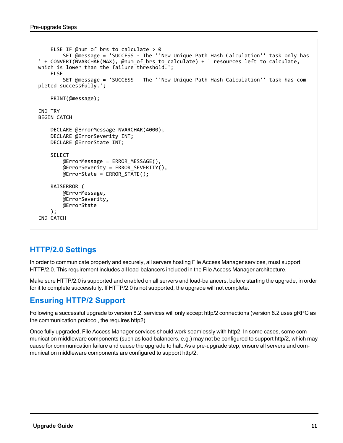```
    ELSE IF @num_of_brs_to_calculate > 0
         SET \overline{\omega} message = \overline{\omega} SUCCESS - The ''New Unique Path Hash Calculation'' task only has
' + CONVERT(NVARCHAR(MAX), @num_of_brs_to_calculate) + ' resources left to calculate,
which is lower than the failure threshold.';
        ELSE
                 SET @message = 'SUCCESS - The ''New Unique Path Hash Calculation'' task has com-
pleted successfully.';
        PRINT(@message);
END TRY
BEGIN CATCH
        DECLARE @ErrorMessage NVARCHAR(4000);
        DECLARE @ErrorSeverity INT;
        DECLARE @ErrorState INT;
        SELECT
                 @ErrorMessage = ERROR_MESSAGE(),
                 @ErrorSeverity = ERROR_SEVERITY(),
         @ErrorState = ERROR_STATE();
        RAISERROR (
                 @ErrorMessage,
                 @ErrorSeverity,
                 @ErrorState
        );
END CATCH
```
## <span id="page-11-0"></span>**HTTP/2.0 Settings**

In order to communicate properly and securely, all servers hosting File Access Manager services, must support HTTP/2.0. This requirement includes all load-balancers included in the File Access Manager architecture.

<span id="page-11-1"></span>Make sure HTTP/2.0 is supported and enabled on all servers and load-balancers, before starting the upgrade, in order for it to complete successfully. If HTTP/2.0 is not supported, the upgrade will not complete.

## **Ensuring HTTP/2 Support**

Following a successful upgrade to version 8.2, services will only accept http/2 connections (version 8.2 uses gRPC as the communication protocol, the requires http2).

Once fully upgraded, File Access Manager services should work seamlessly with http2. In some cases, some communication middleware components (such as load balancers, e.g.) may not be configured to support http/2, which may cause for communication failure and cause the upgrade to halt. As a pre-upgrade step, ensure all servers and communication middleware components are configured to support http/2.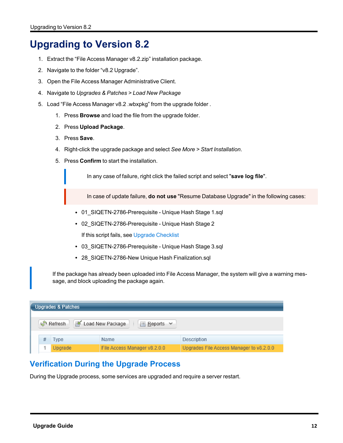## <span id="page-12-0"></span>**Upgrading to Version 8.2**

- 1. Extract the "File Access Manager v8.2.zip" installation package.
- 2. Navigate to the folder "v8.2 Upgrade".
- 3. Open the File Access Manager Administrative Client.
- 4. Navigate to *Upgrades & Patches > Load New Package*
- 5. Load "File Access Manager v8.2 .wbxpkg" from the upgrade folder .
	- 1. Press **Browse** and load the file from the upgrade folder.
	- 2. Press **Upload Package**.
	- 3. Press **Save**.
	- 4. Right-click the upgrade package and select *See More > Start Installation*.
	- 5. Press **Confirm** to start the installation.

In any case of failure, right click the failed script and select "**save log file**".

In case of update failure, **do not use** "Resume Database Upgrade" in the following cases:

- 01\_SIQETN-2786-Prerequisite Unique Hash Stage 1.sql
- 02\_SIQETN-2786-Prerequisite Unique Hash Stage 2 If this script fails, see Upgrade [Checklist](#page-24-1)
- 03 SIQETN-2786-Prerequisite Unique Hash Stage 3.sql
- 28\_SIQETN-2786-New Unique Hash Finalization.sql

If the package has already been uploaded into File Access Manager, the system will give a warning message, and block uploading the package again.

| <b>Upgrades &amp; Patches</b>                          |         |                              |                                          |  |  |
|--------------------------------------------------------|---------|------------------------------|------------------------------------------|--|--|
| Load New Package<br>Refresh<br>$\equiv$ Reports $\sim$ |         |                              |                                          |  |  |
|                                                        | Type    | Name                         | Description                              |  |  |
|                                                        | Upgrade | File Access Manager v8.2.0.0 | Upgrades File Access Manager to v8.2.0.0 |  |  |

## <span id="page-12-1"></span>**Verification During the Upgrade Process**

During the Upgrade process, some services are upgraded and require a server restart.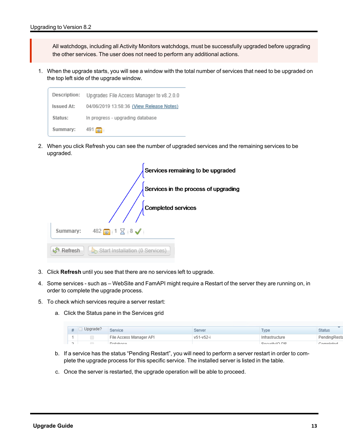All watchdogs, including all Activity Monitors watchdogs, must be successfully upgraded before upgrading the other services. The user does not need to perform any additional actions.

1. When the upgrade starts, you will see a window with the total number of services that need to be upgraded on the top left side of the upgrade window.



2. When you click Refresh you can see the number of upgraded services and the remaining services to be upgraded.

|          |                                 | Services remaining to be upgraded    |
|----------|---------------------------------|--------------------------------------|
|          |                                 | Services in the process of upgrading |
|          | <b>Completed services</b>       |                                      |
| Summary: | $482$ $\circ$ 1 $\times$ 8      |                                      |
| Refresh  | Start Installation (0 Services) |                                      |

- 3. Click **Refresh** until you see that there are no services left to upgrade.
- 4. Some services such as WebSite and FamAPI might require a Restart of the server they are running on, in order to complete the upgrade process.
- 5. To check which services require a server restart:
	- a. Click the Status pane in the Services grid

| #      | Upgrade? | Service                 | Server    | Type           | <b>Status</b> |
|--------|----------|-------------------------|-----------|----------------|---------------|
|        |          | File Access Manager API | v51-v52-i | Infrastructure | PendingResta  |
| $\sim$ | $\Box$   | Databaco                |           | Socurity IO DD | Completed     |

- b. If a service has the status "Pending Restart", you will need to perform a server restart in order to complete the upgrade process for this specific service. The installed server is listed in the table.
- c. Once the server is restarted, the upgrade operation will be able to proceed.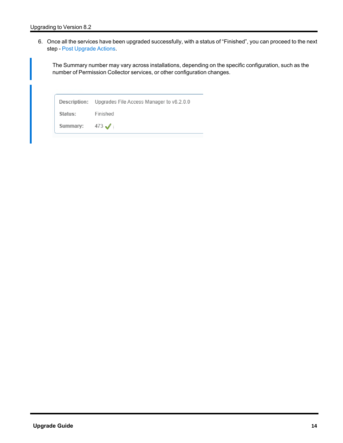6. Once all the services have been upgraded successfully, with a status of "Finished", you can proceed to the next step - Post [Upgrade](#page-15-0) Actions.

The Summary number may vary across installations, depending on the specific configuration, such as the number of Permission Collector services, or other configuration changes.

Description: Upgrades File Access Manager to v8.2.0.0 Status: Finished Summary:  $473 \mathcal{J}$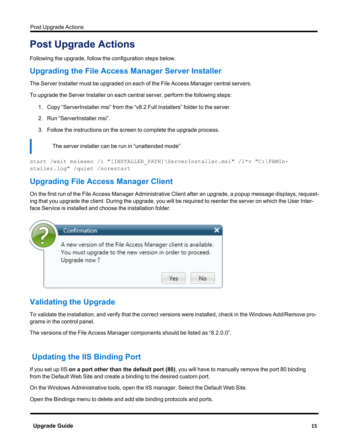## <span id="page-15-0"></span>**Post Upgrade Actions**

<span id="page-15-1"></span>Following the upgrade, follow the configuration steps below.

## **Upgrading the File Access Manager Server Installer**

The Server Installer must be upgraded on each of the File Access Manager central servers.

To upgrade the Server Installer on each central server, perform the following steps:

- 1. Copy "ServerInstaller.msi" from the "v8.2 Full Installers" folder to the server.
- 2. Run "ServerInstaller.msi".
- 3. Follow the instructions on the screen to complete the upgrade process.

The server installer can be run in "unattended mode"

```
start /wait msiexec /i "[INSTALLER_PATH]\ServerInstaller.msi" /l*v "C:\FAMIn-
staller.log" /quiet /norestart
```
## **Upgrading File Access Manager Client**

On the first run of the File Access Manager Administrative Client after an upgrade, a popup message displays, requesting that you upgrade the client. During the upgrade, you will be required to reenter the server on which the User Interface Service is installed and choose the installation folder.



## <span id="page-15-3"></span>**Validating the Upgrade**

To validate the installation, and verify that the correct versions were installed, check in the Windows Add/Remove programs in the control panel.

The versions of the File Access Manager components should be listed as "8.2.0.0".

## <span id="page-15-4"></span>**Updating the IIS Binding Port**

If you set up IIS **on a port other than the default port (80)**, you will have to manually remove the port 80 binding from the Default Web Site and create a binding to the desired custom port.

On the Windows Administrative tools, open the IIS manager. Select the Default Web Site.

Open the Bindings menu to delete and add site binding protocols and ports.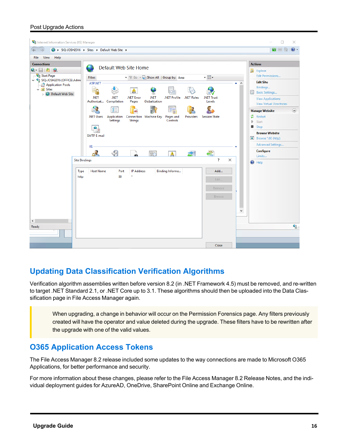#### Post Upgrade Actions



## <span id="page-16-0"></span>**Updating Data Classification Verification Algorithms**

Verification algorithm assemblies written before version 8.2 (in .NET Framework 4.5) must be removed, and re-written to target .NET Standard 2.1, or .NET Core up to 3.1. These algorithms should then be uploaded into the Data Classification page in File Access Manager again.

When upgrading, a change in behavior will occur on the Permission Forensics page. Any filters previously created will have the operator and value deleted during the upgrade. These filters have to be rewritten after the upgrade with one of the valid values.

### <span id="page-16-1"></span>**O365 Application Access Tokens**

The File Access Manager 8.2 release included some updates to the way connections are made to Microsoft O365 Applications, for better performance and security.

For more information about these changes, please refer to the File Access Manager 8.2 Release Notes, and the individual deployment guides for AzureAD, OneDrive, SharePoint Online and Exchange Online.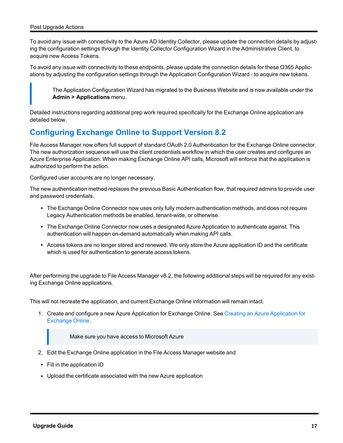To avoid any issue with connectivity to the Azure AD Identity Collector, please update the connection details by adjusting the configuration settings through the Identity Collector Configuration Wizard in the Administrative Client, to acquire new Access Tokens.

To avoid any issue with connectivity to these endpoints, please update the connection details for these O365 Applications by adjusting the configuration settings through the Application Configuration Wizard - to acquire new tokens.

The Application Configuration Wizard has migrated to the Business Website and is now available under the **Admin > Applications** menu.

<span id="page-17-0"></span>Detailed instructions regarding additional prep work required specifically for the Exchange Online application are detailed below.

## **Configuring Exchange Online to Support Version 8.2**

File Access Manager now offers full support of standard OAuth 2.0 Authentication for the Exchange Online connector. The new authorization sequence will use the client credentials workflow in which the user creates and configures an Azure Enterprise Application. When making Exchange Online API calls, Microsoft will enforce that the application is authorized to perform the action.

Configured user accounts are no longer necessary.

The new authentication method replaces the previous Basic Authentication flow, that required admins to provide user and password credentials.

- The Exchange Online Connector now uses only fully modern authentication methods, and does not require Legacy Authentication methods be enabled, tenant-wide, or otherwise.
- The Exchange Online Connector now uses a designated Azure Application to authenticate against. This authentication will happen on-demand automatically when making API calls.
- Access tokens are no longer stored and renewed. We only store the Azure application ID and the certificate which is used for authentication to generate access tokens.

After performing the upgrade to File Access Manager v8.2, the following additional steps will be required for any existing Exchange Online applications.

This will not recreate the application, and current Exchange Online information will remain intact.

1. Create and configure a new Azure Application for Exchange Online. See Creating an Azure [Application](#page-18-0) for [Exchange](#page-18-0) Online.

Make sure you have access to Microsoft Azure

- 2. Edit the Exchange Online application in the File Access Manager website and
- $\cdot$  Fill in the application ID
- Upload the certificate associated with the new Azure application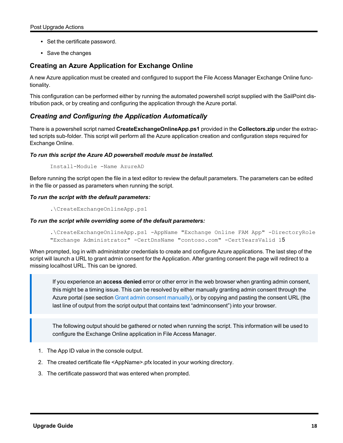- Set the certificate password.
- Save the changes

### <span id="page-18-0"></span>**Creating an Azure Application for Exchange Online**

A new Azure application must be created and configured to support the File Access Manager Exchange Online functionality.

This configuration can be performed either by running the automated powershell script supplied with the SailPoint distribution pack, or by creating and configuring the application through the Azure portal.

#### <span id="page-18-1"></span>*Creating and Configuring the Application Automatically*

There is a powershell script named **CreateExchangeOnlineApp.ps1** provided in the **Collectors.zip** under the extracted scripts sub-folder. This script will perform all the Azure application creation and configuration steps required for Exchange Online.

#### *To run this script the Azure AD powershell module must be installed.*

Install-Module -Name AzureAD

Before running the script open the file in a text editor to review the default parameters. The parameters can be edited in the file or passed as parameters when running the script.

#### *To run the script with the default parameters:*

.\CreateExchangeOnlineApp.ps1

#### *To run the script while overriding some of the default parameters:*

```
.\CreateExchangeOnlineApp.ps1 -AppName "Exchange Online FAM App" -DirectoryRole
"Exchange Administrator" -CertDnsName "contoso.com" -CertYearsValid 15
```
When prompted, log in with administrator credentials to create and configure Azure applications. The last step of the script will launch a URL to grant admin consent for the Application. After granting consent the page will redirect to a missing localhost URL. This can be ignored.

If you experience an **access denied** error or other error in the web browser when granting admin consent, this might be a timing issue. This can be resolved by either manually granting admin consent through the Azure portal (see section Grant admin consent [manually\)](#page-20-1), or by copying and pasting the consent URL (the last line of output from the script output that contains text "adminconsent") into your browser.

The following output should be gathered or noted when running the script. This information will be used to configure the Exchange Online application in File Access Manager.

- 1. The App ID value in the console output.
- 2. The created certificate file <AppName>.pfx located in your working directory.
- 3. The certificate password that was entered when prompted.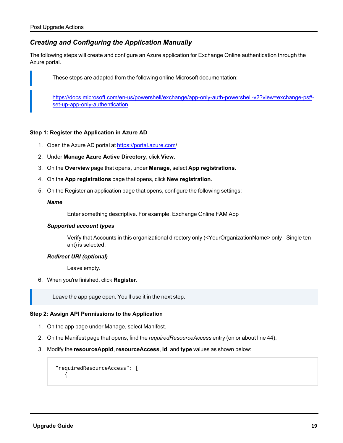#### <span id="page-19-0"></span>*Creating and Configuring the Application Manually*

The following steps will create and configure an Azure application for Exchange Online authentication through the Azure portal.

These steps are adapted from the following online Microsoft documentation:

[https://docs.microsoft.com/en-us/powershell/exchange/app-only-auth-powershell-v2?view=exchange-ps#](https://docs.microsoft.com/en-us/powershell/exchange/app-only-auth-powershell-v2?view=exchange-ps#set-up-app-only-authentication) [set-up-app-only-authentication](https://docs.microsoft.com/en-us/powershell/exchange/app-only-auth-powershell-v2?view=exchange-ps#set-up-app-only-authentication)

#### <span id="page-19-1"></span>**Step 1: Register the Application in Azure AD**

- 1. Open the Azure AD portal at <https://portal.azure.com/>
- 2. Under **Manage Azure Active Directory**, click **View**.
- 3. On the **Overview** page that opens, under **Manage**, select **App registrations**.
- 4. On the **App registrations** page that opens, click **New registration**.
- 5. On the Register an application page that opens, configure the following settings:

#### *Name*

Enter something descriptive. For example, Exchange Online FAM App

#### *Supported account types*

Verify that Accounts in this organizational directory only (<YourOrganizationName> only - Single tenant) is selected.

#### *Redirect URI (optional)*

Leave empty.

6. When you're finished, click **Register**.

Leave the app page open. You'll use it in the next step.

#### <span id="page-19-2"></span>**Step 2: Assign API Permissions to the Application**

- 1. On the app page under Manage, select Manifest.
- 2. On the Manifest page that opens, find the *requiredResourceAccess* entry (on or about line 44).
- 3. Modify the **resourceAppId**, **resourceAccess**, **id**, and **type** values as shown below:

```
"requiredResourceAccess": [
  {
```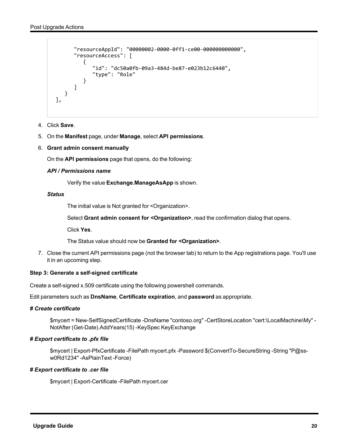```
      "resourceAppId": "00000002-0000-0ff1-ce00-000000000000",
              "resourceAccess": [
            {
                           "id": "dc50a0fb-09a3-484d-be87-e023b12c6440",
                            "type": "Role"
         }
             ]
      }
],
```
- 4. Click **Save**.
- <span id="page-20-1"></span>5. On the **Manifest** page, under **Manage**, select **API permissions**.
- 6. **Grant admin consent manually**

On the **API permissions** page that opens, do the following:

#### *API / Permissions name*

Verify the value **Exchange.ManageAsApp** is shown.

#### *Status*

The initial value is Not granted for <Organization>.

Select **Grant admin consent for <Organization>**, read the confirmation dialog that opens.

Click **Yes**.

The Status value should now be **Granted for <Organization>**.

7. Close the current API permissions page (not the browser tab) to return to the App registrations page. You'll use it in an upcoming step.

#### <span id="page-20-0"></span>**Step 3: Generate a self-signed certificate**

Create a self-signed x.509 certificate using the following powershell commands.

Edit parameters such as **DnsName**, **Certificate expiration**, and **password** as appropriate.

#### *# Create certificate*

\$mycert = New-SelfSignedCertificate -DnsName "contoso.org" -CertStoreLocation "cert:\LocalMachine\My" - NotAfter (Get-Date).AddYears(15) -KeySpec KeyExchange

#### *# Export certificate to .pfx file*

\$mycert | Export-PfxCertificate -FilePath mycert.pfx -Password \$(ConvertTo-SecureString -String "P@ssw0Rd1234" -AsPlainText -Force)

#### *# Export certificate to .cer file*

\$mycert | Export-Certificate -FilePath mycert.cer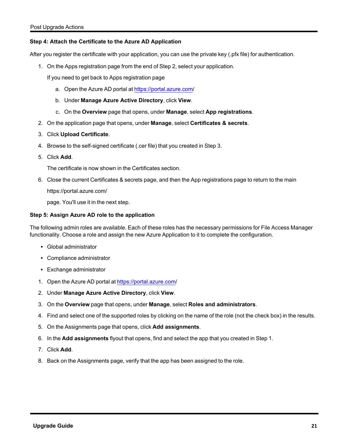#### <span id="page-21-0"></span>**Step 4: Attach the Certificate to the Azure AD Application**

After you register the certificate with your application, you can use the private key (.pfx file) for authentication.

1. On the Apps registration page from the end of Step 2, select your application.

If you need to get back to Apps registration page

- a. Open the Azure AD portal at [https://portal.azure.com](https://portal.azure.com/)/
- b. Under **Manage Azure Active Directory**, click **View**.
- c. On the **Overview** page that opens, under **Manage**, select **App registrations**.
- 2. On the application page that opens, under **Manage**, select **Certificates & secrets**.
- 3. Click **Upload Certificate**.
- 4. Browse to the self-signed certificate (.cer file) that you created in Step 3.
- 5. Click **Add**.

The certificate is now shown in the Certificates section.

6. Close the current Certificates & secrets page, and then the App registrations page to return to the main

https://portal.azure.com/

page. You'll use it in the next step.

#### <span id="page-21-1"></span>**Step 5: Assign Azure AD role to the application**

The following admin roles are available. Each of these roles has the necessary permissions for File Access Manager functionality. Choose a role and assign the new Azure Application to it to complete the configuration.

- Global administrator
- Compliance administrator
- Exchange administrator
- 1. Open the Azure AD portal at <https://portal.azure.com/>
- 2. Under **Manage Azure Active Directory**, click **View**.
- 3. On the **Overview** page that opens, under **Manage**, select **Roles and administrators**.
- 4. Find and select one of the supported roles by clicking on the name of the role (not the check box) in the results.
- 5. On the Assignments page that opens, click **Add assignments**.
- 6. In the **Add assignments** flyout that opens, find and select the app that you created in Step 1.
- 7. Click **Add**.
- 8. Back on the Assignments page, verify that the app has been assigned to the role.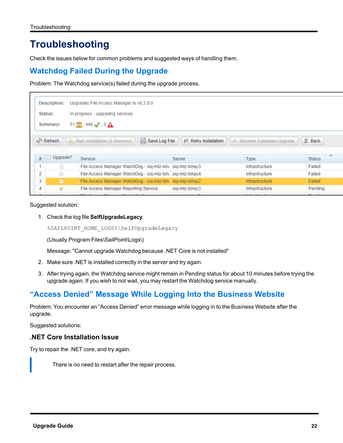## <span id="page-22-0"></span>**Troubleshooting**

<span id="page-22-1"></span>Check the issues below for common problems and suggested ways of handling them.

### **Watchdog Failed During the Upgrade**

Problem: The Watchdog service(s) failed during the upgrade process.

|                                             | Description:<br>Upgrades File Access Manager to v8.2.0.0 |                                                            |                                       |                                            |               |  |  |  |  |
|---------------------------------------------|----------------------------------------------------------|------------------------------------------------------------|---------------------------------------|--------------------------------------------|---------------|--|--|--|--|
| In progress - upgrading services<br>Status: |                                                          |                                                            |                                       |                                            |               |  |  |  |  |
|                                             | $51$ $\odot$ $446 \checkmark$ 3 $\hat{A}$<br>Summary:    |                                                            |                                       |                                            |               |  |  |  |  |
|                                             | <b>A</b> Refresh                                         | Start Installation (0 Services)<br><b>ave Log File</b>     | $\curvearrowright$ Retry Installation | $\curvearrowright$ Resume Database Upgrade | <b>介 Back</b> |  |  |  |  |
| #                                           | Upgrade?                                                 | Service                                                    | Server                                | <b>Type</b>                                | <b>Status</b> |  |  |  |  |
|                                             |                                                          | File Access Manager WatchDog - sig-mtz-lsh; sig-mtz-lshay3 |                                       | Infrastructure                             | Failed        |  |  |  |  |
| 2                                           | $\Box$                                                   | File Access Manager WatchDog - sig-mtz-lsh; sig-mtz-lshay4 |                                       | Infrastructure                             | Failed        |  |  |  |  |
| 3                                           | п                                                        | File Access Manager WatchDog - sig-mtz-lsha sig-mtz-lshay2 |                                       | Infrastructure                             | Failed        |  |  |  |  |
| 4                                           | $\checkmark$                                             | File Access Manager Reporting Service                      | sig-mtz-Ishay3                        | Infrastructure                             | Pending       |  |  |  |  |
|                                             |                                                          | .                                                          | $\cdots$                              | .                                          | $-1$          |  |  |  |  |

Suggested solution:

1. Check the log file **SelfUpgradeLegacy**

%SAILPOINT\_HOME\_LOGS%\SelfUpgradeLegacy

(Usually Program Files\SailPoint\Logs\)

Message: "Cannot upgrade Watchdog because .NET Core is not installed"

- 2. Make sure .NET is installed correctly in the server and try again.
- 3. After trying again, the Watchdog service might remain in Pending status for about 10 minutes before trying the upgrade again. If you wish to not wait, you may restart the Watchdog service manually.

## <span id="page-22-2"></span>**"Access Denied" Message While Logging Into the Business Website**

Problem: You encounter an "Access Denied" error message while logging in to the Business Website after the upgrade.

<span id="page-22-3"></span>Suggested solutions:

#### **.NET Core Installation Issue**

Try to repair the .NET core, and try again.

There is no need to restart after the repair process.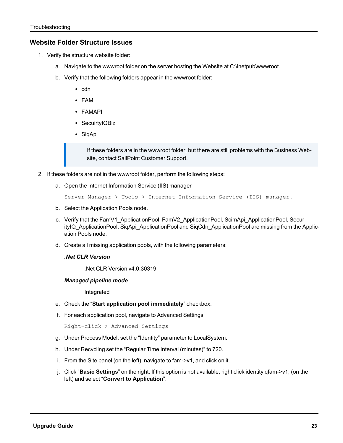#### <span id="page-23-0"></span>**Website Folder Structure Issues**

- 1. Verify the structure website folder:
	- a. Navigate to the wwwroot folder on the server hosting the Website at C:\inetpub\wwwroot.
	- b. Verify that the following folders appear in the wwwroot folder:
		- $\cdot$  cdn
		- <sup>l</sup> FAM
		- FAMAPI
		- SecuirtyIQBiz
		- SiqApi

If these folders are in the wwwroot folder, but there are still problems with the Business Website, contact SailPoint Customer Support.

- 2. If these folders are not in the wwwroot folder, perform the following steps:
	- a. Open the Internet Information Service (IIS) manager

Server Manager > Tools > Internet Information Service (IIS) manager.

- b. Select the Application Pools node.
- c. Verify that the FamV1\_ApplicationPool, FamV2\_ApplicationPool, ScimApi\_ApplicationPool, SecurityIQ\_ApplicationPool, SiqApi\_ApplicationPool and SiqCdn\_ApplicationPool are missing from the Application Pools node.
- d. Create all missing application pools, with the following parameters:

#### *.Net CLR Version*

.Net CLR Version v4.0.30319

#### *Managed pipeline mode*

Integrated

- e. Check the "**Start application pool immediately**" checkbox.
- f. For each application pool, navigate to Advanced Settings

Right-click > Advanced Settings

- g. Under Process Model, set the "Identity" parameter to LocalSystem.
- h. Under Recycling set the "Regular Time Interval (minutes)" to 720.
- i. From the Site panel (on the left), navigate to fam->v1, and click on it.
- j. Click "**Basic Settings**" on the right. If this option is not available, right click identityiqfam->v1, (on the left) and select "**Convert to Application**".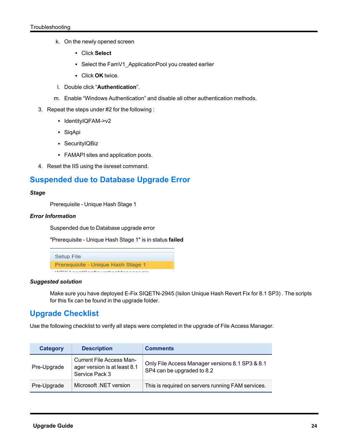- k. On the newly opened screen
	- <sup>l</sup> Click **Select**
	- Select the FamV1\_ApplicationPool you created earlier
	- **Click OK** twice.
- l. Double click "**Authentication**".
- m. Enable "Windows Authentication" and disable all other authentication methods.
- 3. Repeat the steps under #2 for the following :
	- IdentityIQFAM->v2
	- SiqApi
	- SecurityIQBiz
	- FAMAPI sites and application pools.
- <span id="page-24-0"></span>4. Reset the IIS using the iisreset command.

### **Suspended due to Database Upgrade Error**

#### *Stage*

Prerequisite - Unique Hash Stage 1

#### *Error Information*

Suspended due to Database upgrade error

"Prerequisite - Unique Hash Stage 1" is in status **failed**



#### *Suggested solution*

Make sure you have deployed E-Fix SIQETN-2945 (Isilon Unique Hash Revert Fix for 8.1 SP3) . The scripts for this fix can be found in the upgrade folder.

### <span id="page-24-1"></span>**Upgrade Checklist**

Use the following checklist to verify all steps were completed in the upgrade of File Access Manager.

| Category    | <b>Description</b>                                                                | <b>Comments</b>                                                               |
|-------------|-----------------------------------------------------------------------------------|-------------------------------------------------------------------------------|
| Pre-Upgrade | <b>Current File Access Man-</b><br>ager version is at least 8.1<br>Service Pack 3 | Only File Access Manager versions 8.1 SP3 & 8.1<br>SP4 can be upgraded to 8.2 |
| Pre-Upgrade | Microsoft NET version                                                             | This is required on servers running FAM services.                             |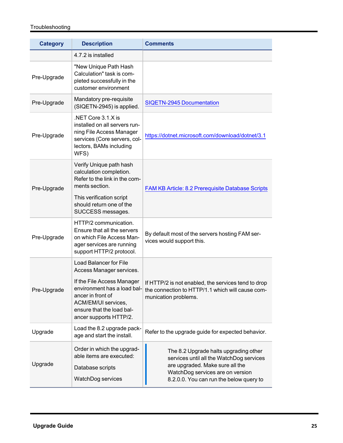#### Troubleshooting

| <b>Category</b> | <b>Description</b>                                                                                                                                                                                                        | <b>Comments</b>                                                                                                                                                                                     |
|-----------------|---------------------------------------------------------------------------------------------------------------------------------------------------------------------------------------------------------------------------|-----------------------------------------------------------------------------------------------------------------------------------------------------------------------------------------------------|
|                 | 4.7.2 is installed                                                                                                                                                                                                        |                                                                                                                                                                                                     |
| Pre-Upgrade     | "New Unique Path Hash<br>Calculation" task is com-<br>pleted successfully in the<br>customer environment                                                                                                                  |                                                                                                                                                                                                     |
| Pre-Upgrade     | Mandatory pre-requisite<br>(SIQETN-2945) is applied.                                                                                                                                                                      | <b>SIQETN-2945 Documentation</b>                                                                                                                                                                    |
| Pre-Upgrade     | .NET Core 3.1.X is<br>installed on all servers run-<br>ning File Access Manager<br>services (Core servers, col-<br>lectors, BAMs including<br>WFS)                                                                        | https://dotnet.microsoft.com/download/dotnet/3.1                                                                                                                                                    |
| Pre-Upgrade     | Verify Unique path hash<br>calculation completion.<br>Refer to the link in the com-<br>ments section.<br>This verification script<br>should return one of the<br>SUCCESS messages.                                        | FAM KB Article: 8.2 Prerequisite Database Scripts                                                                                                                                                   |
| Pre-Upgrade     | HTTP/2 communication.<br>Ensure that all the servers<br>on which File Access Man-<br>ager services are running<br>support HTTP/2 protocol.                                                                                | By default most of the servers hosting FAM ser-<br>vices would support this.                                                                                                                        |
| Pre-Upgrade     | <b>Load Balancer for File</b><br>Access Manager services.<br>If the File Access Manager<br>environment has a load bal-<br>ancer in front of<br>ACM/EM/UI services,<br>ensure that the load bal-<br>ancer supports HTTP/2. | If HTTP/2 is not enabled, the services tend to drop<br>the connection to HTTP/1.1 which will cause com-<br>munication problems.                                                                     |
| Upgrade         | Load the 8.2 upgrade pack-<br>age and start the install.                                                                                                                                                                  | Refer to the upgrade guide for expected behavior.                                                                                                                                                   |
| Upgrade         | Order in which the upgrad-<br>able items are executed:<br>Database scripts<br>WatchDog services                                                                                                                           | The 8.2 Upgrade halts upgrading other<br>services until all the WatchDog services<br>are upgraded. Make sure all the<br>WatchDog services are on version<br>8.2.0.0. You can run the below query to |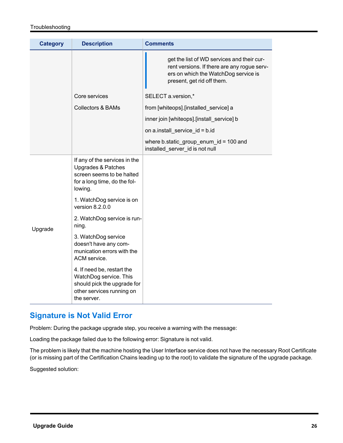#### Troubleshooting

| <b>Category</b> | <b>Description</b>                                                                                                                     | <b>Comments</b>                                                                                                                                                 |
|-----------------|----------------------------------------------------------------------------------------------------------------------------------------|-----------------------------------------------------------------------------------------------------------------------------------------------------------------|
|                 |                                                                                                                                        | get the list of WD services and their cur-<br>rent versions. If there are any rogue serv-<br>ers on which the WatchDog service is<br>present, get rid off them. |
|                 | Core services                                                                                                                          | SELECT a.version,*                                                                                                                                              |
|                 | <b>Collectors &amp; BAMs</b>                                                                                                           | from [whiteops].[installed_service] a                                                                                                                           |
|                 |                                                                                                                                        | inner join [whiteops].[install_service] b                                                                                                                       |
|                 |                                                                                                                                        | on a.install_service_id = b.id                                                                                                                                  |
|                 |                                                                                                                                        | where b.static_group_enum_id = 100 and<br>installed server id is not null                                                                                       |
| Upgrade         | If any of the services in the<br><b>Upgrades &amp; Patches</b><br>screen seems to be halted<br>for a long time, do the fol-<br>lowing. |                                                                                                                                                                 |
|                 | 1. WatchDog service is on<br>version $8.2.0.0$                                                                                         |                                                                                                                                                                 |
|                 | 2. WatchDog service is run-<br>ning.                                                                                                   |                                                                                                                                                                 |
|                 | 3. WatchDog service<br>doesn't have any com-<br>munication errors with the<br>ACM service.                                             |                                                                                                                                                                 |
|                 | 4. If need be, restart the<br>WatchDog service. This<br>should pick the upgrade for<br>other services running on<br>the server.        |                                                                                                                                                                 |

## <span id="page-26-0"></span>**Signature is Not Valid Error**

Problem: During the package upgrade step, you receive a warning with the message:

Loading the package failed due to the following error: Signature is not valid.

The problem is likely that the machine hosting the User Interface service does not have the necessary Root Certificate (or is missing part of the Certification Chains leading up to the root) to validate the signature of the upgrade package.

Suggested solution: